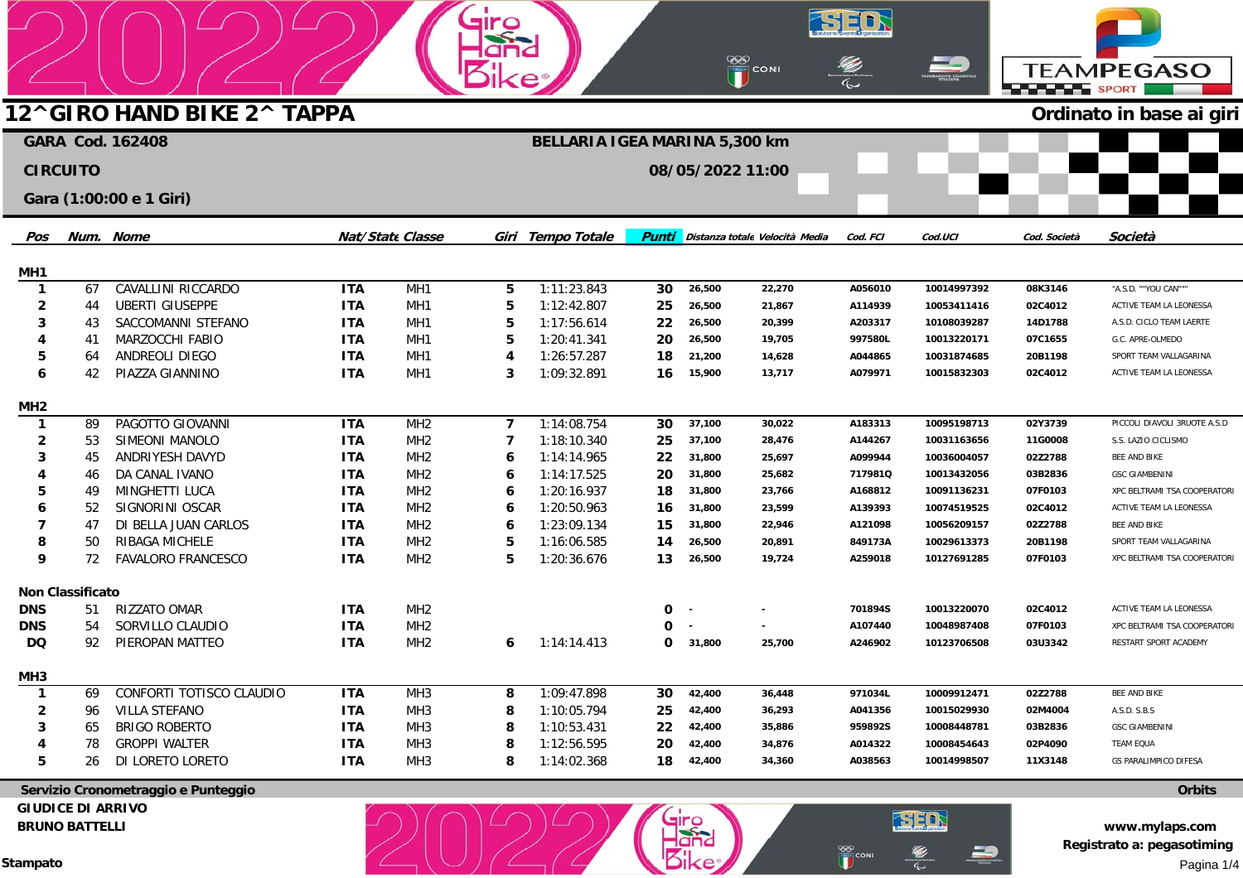|                                     |                         |                                     |                          |                                    | <b>SILE</b>         |                               |              |                  |                                |                    |                            |                      |                                            |
|-------------------------------------|-------------------------|-------------------------------------|--------------------------|------------------------------------|---------------------|-------------------------------|--------------|------------------|--------------------------------|--------------------|----------------------------|----------------------|--------------------------------------------|
|                                     |                         |                                     |                          |                                    |                     |                               |              |                  |                                |                    |                            |                      |                                            |
|                                     |                         |                                     |                          |                                    |                     |                               |              |                  | <b>OOO</b><br>THE CONI         |                    |                            | <b>ELELELE SPORT</b> | <b>TEAMPEGASO</b>                          |
|                                     |                         | 12^GIRO HAND BIKE 2^ TAPPA          |                          |                                    |                     |                               |              |                  |                                |                    |                            |                      | Ordinato in base ai giri                   |
|                                     |                         | <b>GARA Cod. 162408</b>             |                          |                                    |                     | BELLARIA IGEA MARINA 5,300 km |              |                  |                                |                    |                            |                      |                                            |
| <b>CIRCUITO</b><br>08/05/2022 11:00 |                         |                                     |                          |                                    |                     |                               |              |                  |                                |                    |                            |                      |                                            |
|                                     |                         |                                     |                          |                                    |                     |                               |              |                  |                                |                    |                            |                      |                                            |
|                                     |                         | Gara (1:00:00 e 1 Giri)             |                          |                                    |                     |                               |              |                  |                                |                    |                            |                      |                                            |
| Pos                                 |                         | Num. Nome                           |                          | <b>Nat/State Classe</b>            |                     | Giri Tempo Totale             | <b>Punti</b> |                  | Distanza totale Velocità Media | Cod. FCI           | Cod.UCI                    | Cod. Società         | Società                                    |
|                                     |                         |                                     |                          |                                    |                     |                               |              |                  |                                |                    |                            |                      |                                            |
| MH <sub>1</sub>                     |                         |                                     |                          |                                    |                     |                               |              |                  |                                |                    |                            |                      |                                            |
| $\mathbf{1}$                        | 67                      | CAVALLINI RICCARDO                  | <b>ITA</b>               | MH <sub>1</sub>                    | 5                   | 1:11:23.843                   | 30           | 26,500           | 22,270                         | A056010            | 10014997392                | 08K3146              | "A.S.D. ""YOU CAN"""                       |
| 2                                   | 44                      | <b>UBERTI GIUSEPPE</b>              | <b>ITA</b>               | MH <sub>1</sub>                    | 5                   | 1:12:42.807                   | 25           | 26,500           | 21,867                         | A114939            | 10053411416                | 02C4012              | ACTIVE TEAM LA LEONESSA                    |
|                                     | 43                      | SACCOMANNI STEFANO                  | <b>ITA</b>               | MH <sub>1</sub>                    | 5                   | 1:17:56.614                   | 22           | 26,500           | 20,399                         | A203317            | 10108039287                | 14D1788              | A.S.D. CICLO TEAM LAERTE                   |
|                                     | 41                      | MARZOCCHI FABIO                     | <b>ITA</b>               | MH1                                | 5                   | 1:20:41.341<br>1:26:57.287    | 20           | 26,500           | 19,705                         | 997580L            | 10013220171                | 07C1655              | G.C. APRE-OLMEDO<br>SPORT TEAM VALLAGARINA |
| 5<br>6                              | 64<br>42                | ANDREOLI DIEGO<br>PIAZZA GIANNINO   | <b>ITA</b><br><b>ITA</b> | MH <sub>1</sub><br>MH <sub>1</sub> | $\overline{4}$<br>3 | 1:09:32.891                   | 18<br>16     | 21,200<br>15,900 | 14,628<br>13,717               | A044865<br>A079971 | 10031874685<br>10015832303 | 20B1198<br>02C4012   |                                            |
|                                     |                         |                                     |                          |                                    |                     |                               |              |                  |                                |                    |                            |                      | ACTIVE TEAM LA LEONESSA                    |
| MH <sub>2</sub>                     |                         |                                     |                          |                                    |                     |                               |              |                  |                                |                    |                            |                      |                                            |
| $\mathbf{1}$                        | 89                      | PAGOTTO GIOVANNI                    | <b>ITA</b>               | MH <sub>2</sub>                    | $\overline{7}$      | 1:14:08.754                   | 30           | 37,100           | 30,022                         | A183313            | 10095198713                | 02Y3739              | PICCOLI DIAVOLI 3RUOTE A.S.D               |
| 2                                   | 53                      | SIMEONI MANOLO                      | <b>ITA</b>               | MH <sub>2</sub>                    | $\overline{7}$      | 1:18:10.340                   | 25           | 37,100           | 28,476                         | A144267            | 10031163656                | 11G0008              | S.S. LAZIO CICLISMO                        |
|                                     | 45                      | ANDRIYESH DAVYD                     | <b>ITA</b>               | MH <sub>2</sub>                    | 6                   | 1:14:14.965                   | 22           | 31,800           | 25,697                         | A099944            | 10036004057                | 02Z2788              | BEE AND BIKE                               |
|                                     | 46                      | DA CANAL IVANO                      | <b>ITA</b>               | MH <sub>2</sub>                    | 6                   | 1:14:17.525                   | 20           | 31,800           | 25,682                         | 717981Q            | 10013432056                | 03B2836              | <b>GSC GIAMBENINI</b>                      |
|                                     | 49                      | MINGHETTI LUCA                      | <b>ITA</b>               | MH <sub>2</sub>                    | 6                   | 1:20:16.937                   | 18           | 31,800           | 23,766                         | A168812            | 10091136231                | 07F0103              | XPC BELTRAMI TSA COOPERATORI               |
|                                     | 52                      | SIGNORINI OSCAR                     | <b>ITA</b>               | MH <sub>2</sub>                    | 6                   | 1:20:50.963                   | 16           | 31,800           | 23,599                         | A139393            | 10074519525                | 02C4012              | ACTIVE TEAM LA LEONESSA                    |
| 7                                   | 47                      | DI BELLA JUAN CARLOS                | <b>ITA</b>               | MH <sub>2</sub>                    | 6                   | 1:23:09.134                   | 15           | 31,800           | 22,946                         | A121098            | 10056209157                | 02Z2788              | <b>BEE AND BIKE</b>                        |
| 8                                   | 50                      | RIBAGA MICHELE                      | <b>ITA</b>               | MH <sub>2</sub>                    | 5                   | 1:16:06.585                   | 14           | 26,500           | 20,891                         | 849173A            | 10029613373                | 20B1198              | SPORT TEAM VALLAGARINA                     |
| 9                                   | 72                      | <b>FAVALORO FRANCESCO</b>           | <b>ITA</b>               | MH <sub>2</sub>                    | 5                   | 1:20:36.676                   | 13           | 26,500           | 19,724                         | A259018            | 10127691285                | 07F0103              | XPC BELTRAMI TSA COOPERATORI               |
|                                     | <b>Non Classificato</b> |                                     |                          |                                    |                     |                               |              |                  |                                |                    |                            |                      |                                            |
| <b>DNS</b>                          | 51                      | RIZZATO OMAR                        | <b>ITA</b>               | MH <sub>2</sub>                    |                     |                               | 0            | $\sim$           |                                | 701894S            | 10013220070                | 02C4012              | ACTIVE TEAM LA LEONESSA                    |
| <b>DNS</b>                          | 54                      | SORVILLO CLAUDIO                    | <b>ITA</b>               | MH <sub>2</sub>                    |                     |                               | 0            |                  |                                | A107440            | 10048987408                | 07F0103              | XPC BELTRAMI TSA COOPERATORI               |
| DQ                                  | 92                      | PIEROPAN MATTEO                     | <b>ITA</b>               | MH <sub>2</sub>                    | 6                   | 1:14:14.413                   |              | 0 31,800         | 25,700                         | A246902            | 10123706508                | 03U3342              | RESTART SPORT ACADEMY                      |
| MH <sub>3</sub>                     |                         |                                     |                          |                                    |                     |                               |              |                  |                                |                    |                            |                      |                                            |
| $\mathbf{1}$                        | 69                      | CONFORTI TOTISCO CLAUDIO            | <b>ITA</b>               | MH <sub>3</sub>                    | 8                   | 1:09:47.898                   | 30           | 42,400           | 36,448                         | 971034L            | 10009912471                | 02Z2788              | BEE AND BIKE                               |
| $\mathbf{2}$                        | 96                      | <b>VILLA STEFANO</b>                | <b>ITA</b>               | MH <sub>3</sub>                    | 8                   | 1:10:05.794                   | 25           | 42,400           | 36,293                         | A041356            | 10015029930                | 02M4004              | A.S.D. S.B.S                               |
| 3                                   | 65                      | <b>BRIGO ROBERTO</b>                | <b>ITA</b>               | MH <sub>3</sub>                    | 8                   | 1:10:53.431                   | 22           | 42,400           | 35,886                         | 959892S            | 10008448781                | 03B2836              | <b>GSC GIAMBENINI</b>                      |
|                                     | 78                      | <b>GROPPI WALTER</b>                | <b>ITA</b>               | MH <sub>3</sub>                    | 8                   | 1:12:56.595                   | 20           | 42,400           | 34,876                         | A014322            | 10008454643                | 02P4090              | <b>TEAM EQUA</b>                           |
| 5                                   | 26                      | DI LORETO LORETO                    | <b>ITA</b>               | MH <sub>3</sub>                    | 8                   | 1:14:02.368                   | 18           | 42,400           | 34,360                         | A038563            | 10014998507                | 11X3148              | <b>GS PARALIMPICO DIFESA</b>               |
|                                     |                         | Servizio Cronometraggio e Punteggio |                          |                                    |                     |                               |              |                  |                                |                    |                            |                      | <b>Orbits</b>                              |

Giro<br>Rilke

 **Servizio Cronometraggio e Punteggio GIUDICE DI ARRIVO BRUNO BATTELLI** 

**www.mylaps.com Registrato a: pegasotiming**  Pagina 1/4

SED

**SER** 

∍

**EXP**CONI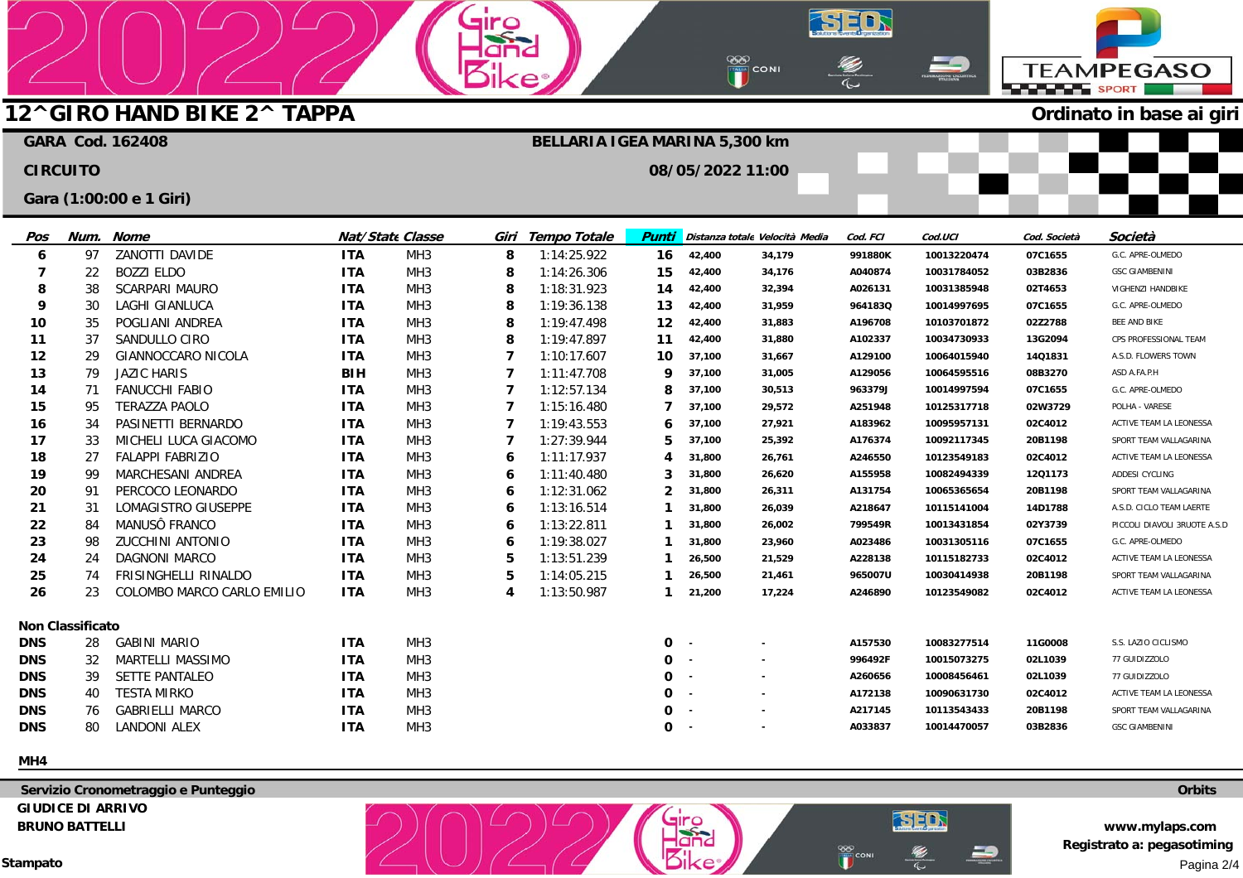# **12^GIRO HAND BIKE 2^ TAPPA**

## **Ordinato in base ai giri**

**TEAMPEGASO** 

**SPORT** SPORT

|                 |                         | <b>GARA Cod. 162408</b>     |            |                  |   | BELLARIA IGEA MARINA 5,300 km |                  |            |                                |          |             |              |                              |
|-----------------|-------------------------|-----------------------------|------------|------------------|---|-------------------------------|------------------|------------|--------------------------------|----------|-------------|--------------|------------------------------|
| <b>CIRCUITO</b> |                         |                             |            |                  |   |                               | 08/05/2022 11:00 |            |                                |          |             |              |                              |
|                 |                         | Gara (1:00:00 e 1 Giri)     |            |                  |   |                               |                  |            |                                |          |             |              |                              |
| Pos             | Num.                    | Nome                        |            | Nat/State Classe |   | Giri Tempo Totale             | <b>Punti</b>     |            | Distanza totale Velocità Media | Cod. FCI | Cod.UCI     | Cod. Società | Società                      |
| 6               | 97                      | ZANOTTI DAVIDE              | <b>ITA</b> | MH <sub>3</sub>  | 8 | 1:14:25.922                   | 16               | 42,400     | 34,179                         | 991880K  | 10013220474 | 07C1655      | G.C. APRE-OLMEDO             |
| 7               | 22                      | <b>BOZZI ELDO</b>           | <b>ITA</b> | MH <sub>3</sub>  | 8 | 1:14:26.306                   | 15               | 42,400     | 34,176                         | A040874  | 10031784052 | 03B2836      | <b>GSC GIAMBENINI</b>        |
| 8               | 38                      | <b>SCARPARI MAURO</b>       | <b>ITA</b> | MH <sub>3</sub>  | 8 | 1:18:31.923                   | 14               | 42,400     | 32,394                         | A026131  | 10031385948 | 02T4653      | VIGHENZI HANDBIKE            |
| 9               | 30                      | <b>LAGHI GIANLUCA</b>       | <b>ITA</b> | MH <sub>3</sub>  | 8 | 1:19:36.138                   | 13               | 42,400     | 31,959                         | 9641830  | 10014997695 | 07C1655      | G.C. APRE-OLMEDO             |
| 10              | 35                      | POGLIANI ANDREA             | <b>ITA</b> | MH <sub>3</sub>  | 8 | 1:19:47.498                   | 12               | 42,400     | 31,883                         | A196708  | 10103701872 | 02Z2788      | BEE AND BIKE                 |
| 11              | 37                      | SANDULLO CIRO               | <b>ITA</b> | MH <sub>3</sub>  | 8 | 1:19:47.897                   | 11               | 42,400     | 31,880                         | A102337  | 10034730933 | 13G2094      | CPS PROFESSIONAL TEAM        |
| 12              | 29                      | GIANNOCCARO NICOLA          | <b>ITA</b> | MH <sub>3</sub>  | 7 | 1:10:17.607                   | 10               | 37,100     | 31,667                         | A129100  | 10064015940 | 14Q1831      | A.S.D. FLOWERS TOWN          |
| 13              | 79                      | <b>JAZIC HARIS</b>          | <b>BIH</b> | MH <sub>3</sub>  | 7 | 1:11:47.708                   | 9                | 37,100     | 31,005                         | A129056  | 10064595516 | 08B3270      | ASD A.FA.P.H                 |
| 14              | 71                      | <b>FANUCCHI FABIO</b>       | <b>ITA</b> | MH <sub>3</sub>  | 7 | 1:12:57.134                   | 8                | 37,100     | 30,513                         | 963379J  | 10014997594 | 07C1655      | G.C. APRE-OLMEDO             |
| 15              | 95                      | <b>TERAZZA PAOLO</b>        | <b>ITA</b> | MH <sub>3</sub>  | 7 | 1:15:16.480                   | 7                | 37,100     | 29,572                         | A251948  | 10125317718 | 02W3729      | POLHA - VARESE               |
| 16              | 34                      | PASINETTI BERNARDO          | <b>ITA</b> | MH <sub>3</sub>  | 7 | 1:19:43.553                   | 6                | 37,100     | 27,921                         | A183962  | 10095957131 | 02C4012      | ACTIVE TEAM LA LEONESSA      |
| 17              | 33                      | MICHELI LUCA GIACOMO        | <b>ITA</b> | MH <sub>3</sub>  | 7 | 1:27:39.944                   | 5                | 37,100     | 25,392                         | A176374  | 10092117345 | 20B1198      | SPORT TEAM VALLAGARINA       |
| 18              | 27                      | <b>FALAPPI FABRIZIO</b>     | <b>ITA</b> | MH <sub>3</sub>  | 6 | 1:11:17.937                   | 4                | 31,800     | 26,761                         | A246550  | 10123549183 | 02C4012      | ACTIVE TEAM LA LEONESSA      |
| 19              | -99                     | MARCHESANI ANDREA           | <b>ITA</b> | MH <sub>3</sub>  | 6 | 1:11:40.480                   | 3                | 31,800     | 26,620                         | A155958  | 10082494339 | 12Q1173      | ADDESI CYCLING               |
| 20              | 91                      | PERCOCO LEONARDO            | <b>ITA</b> | MH <sub>3</sub>  | 6 | 1:12:31.062                   | 2                | 31,800     | 26,311                         | A131754  | 10065365654 | 20B1198      | SPORT TEAM VALLAGARINA       |
| 21              | 31                      | LOMAGISTRO GIUSEPPE         | <b>ITA</b> | MH <sub>3</sub>  | 6 | 1:13:16.514                   | 1                | 31,800     | 26,039                         | A218647  | 10115141004 | 14D1788      | A.S.D. CICLO TEAM LAERTE     |
| 22              | 84                      | MANUSÔ FRANCO               | <b>ITA</b> | MH <sub>3</sub>  | 6 | 1:13:22.811                   | 1                | 31,800     | 26,002                         | 799549R  | 10013431854 | 02Y3739      | PICCOLI DIAVOLI 3RUOTE A.S.D |
| 23              | 98                      | <b>ZUCCHINI ANTONIO</b>     | <b>ITA</b> | MH <sub>3</sub>  | 6 | 1:19:38.027                   | 1                | 31,800     | 23,960                         | A023486  | 10031305116 | 07C1655      | G.C. APRE-OLMEDO             |
| 24              | 24                      | <b>DAGNONI MARCO</b>        | <b>ITA</b> | MH <sub>3</sub>  | 5 | 1:13:51.239                   | 1                | 26,500     | 21,529                         | A228138  | 10115182733 | 02C4012      | ACTIVE TEAM LA LEONESSA      |
| 25              | 74                      | <b>FRISINGHELLI RINALDO</b> | <b>ITA</b> | MH <sub>3</sub>  | 5 | 1:14:05.215                   | 1                | 26,500     | 21,461                         | 965007U  | 10030414938 | 20B1198      | SPORT TEAM VALLAGARINA       |
| 26              | 23                      | COLOMBO MARCO CARLO EMILIO  | <b>ITA</b> | MH <sub>3</sub>  | 4 | 1:13:50.987                   | 1                | 21,200     | 17,224                         | A246890  | 10123549082 | 02C4012      | ACTIVE TEAM LA LEONESSA      |
|                 | <b>Non Classificato</b> |                             |            |                  |   |                               |                  |            |                                |          |             |              |                              |
| <b>DNS</b>      | 28                      | <b>GABINI MARIO</b>         | <b>ITA</b> | MH <sub>3</sub>  |   |                               | 0                | $\sim$     |                                | A157530  | 10083277514 | 11G0008      | S.S. LAZIO CICLISMO          |
| <b>DNS</b>      | 32                      | MARTELLI MASSIMO            | <b>ITA</b> | MH <sub>3</sub>  |   |                               | 0                | $\sim$ $-$ | $\sim$                         | 996492F  | 10015073275 | 02L1039      | 77 GUIDIZZOLO                |
| <b>DNS</b>      | 39                      | SETTE PANTALEO              | <b>ITA</b> | MH <sub>3</sub>  |   |                               | 0                | - 11       | $\sim$                         | A260656  | 10008456461 | 02L1039      | 77 GUIDIZZOLO                |
| <b>DNS</b>      | 40                      | <b>TESTA MIRKO</b>          | <b>ITA</b> | MH <sub>3</sub>  |   |                               | 0                |            | $\sim$                         | A172138  | 10090631730 | 02C4012      | ACTIVE TEAM LA LEONESSA      |
| <b>DNS</b>      | 76                      | <b>GABRIELLI MARCO</b>      | <b>ITA</b> | MH <sub>3</sub>  |   |                               | 0                |            |                                | A217145  | 10113543433 | 20B1198      | SPORT TEAM VALLAGARINA       |
| <b>DNS</b>      | 80                      | LANDONI ALEX                | <b>ITA</b> | MH <sub>3</sub>  |   |                               | 0                |            |                                | A033837  | 10014470057 | 03B2836      | <b>GSC GIAMBENINI</b>        |

٠

airo

-lar

SED

 $\overline{\mathbb{Q}}$ 

⇒

∞

CONI

SED

E)

 $\Rightarrow$ 

**EXP** CONI

**MH4** 

 **Servizio Cronometraggio e Punteggio GIUDICE DI ARRIVO BRUNO BATTELLI** 

**Orbits** 

**www.mylaps.com Registrato a: pegasotiming**  Pagina 2/4

**Stampato**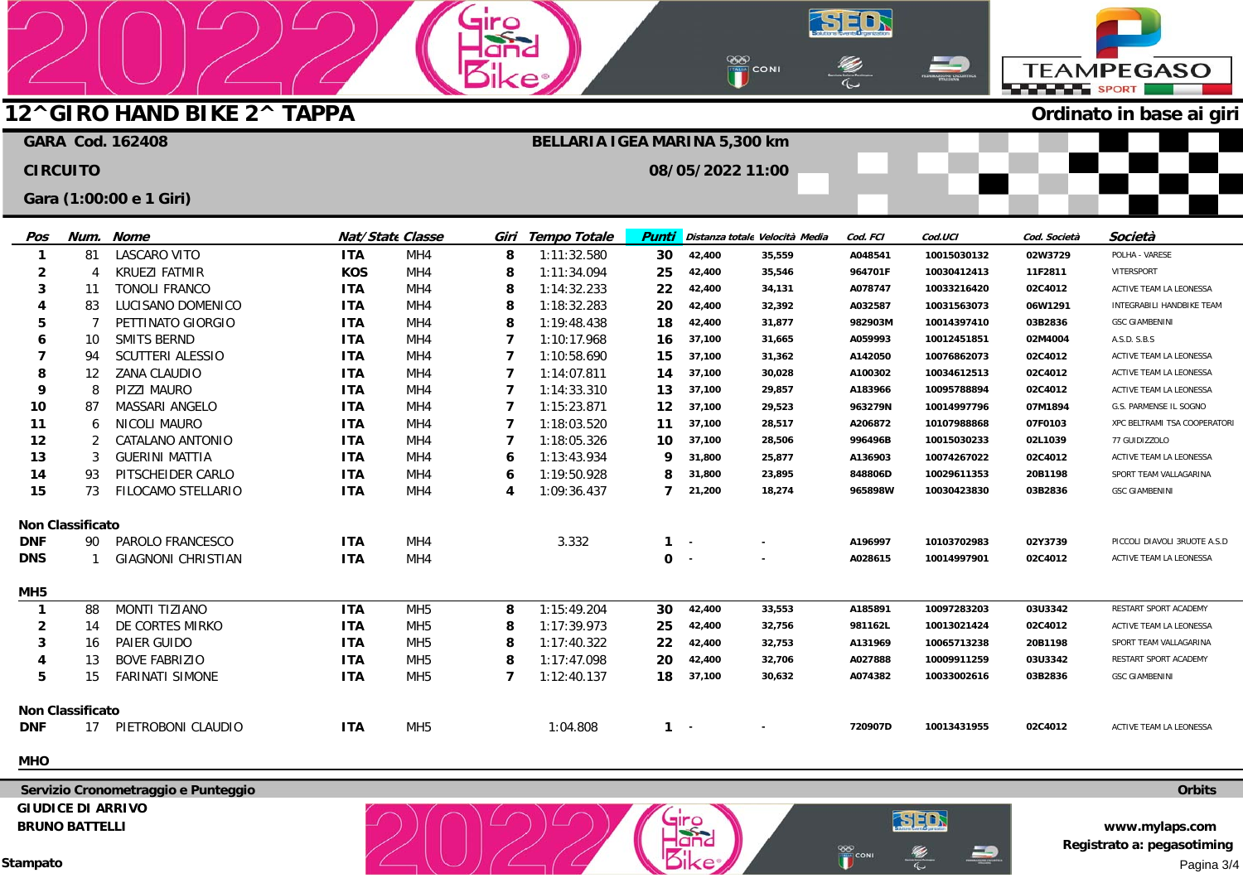### ထစ<br><mark>(၂)</mark> coni **TEAMPEGASO ELECTRIC SPORT 12^GIRO HAND BIKE 2^ TAPPA Ordinato in base ai giri GARA Cod. 162408 BELLARIA IGEA MARINA 5,300 km CIRCUITO 08/05/2022 11:00 Gara (1:00:00 e 1 Giri) Cod. FCI Cod.UCI Cod. Società Pos Num. Nome Nat/State Classe Giri Tempo Totale Punti Distanza totaleVelocità Media Società 1** 81 LASCARO VITO **ITA** MH<sub>4</sub> 1:11:32.580 **30 42,400 35,559 A048541 10015030132 02W3729** POLHA - VARESE **8 2 8** 4 KRUEZI FATMIR **KOS** MH<sub>4</sub> 1:11:34.094 **25 42,400 35,546 11F2811** VITERSPORT **964701F 10030412413 3** 11 TONOLI FRANCO **ITA** MH<sub>4</sub> **8** 1:14:32.233 **22 42,400 34,131 A078747 02C4012** ACTIVE TEAM LA LEONESSA **10033216420 4** LUCISANO DOMENICO **ITA** MH<sub>4</sub> **8** 1:18:32.283 **20 42,400 32,392 A032587 10031563073 06W1291** INTEGRABILI HANDBIKE TEAM 83 **5** 7 PETTINATO GIORGIO MH<sub>4</sub> **8** 1:19:48.438 **18 42,400 31,877 982903M 10014397410 03B2836** GSC GIAMBENINI **ITA**  SMITS BERND **7**  $1:10:17.968$ **6** 10 **ITA** MH<sub>4</sub> **16 37,100 31,665 A059993 10012451851 02M4004** A.S.D. S.B.S **7** SCUTTERI ALESSIO **ITA** MH<sub>4</sub> **7** 1:10:58.690 **15** 94 **37,100 31,362 A142050** ACTIVE TEAM LA LEONESSA **10076862073 02C4012 8 7 37,100 30,028 A100302 10034612513 02C4012** ZANA CLAUDIO **ITA** MH<sub>4</sub> 1:14:07.811 12 **14** ACTIVE TEAM LA LEONESSA **9** 8 PIZZI MAURO **ITA** MH<sub>4</sub> **7** 1:14:33.310 **13 37,100 29,857 A183966 10095788894 02C4012** ACTIVE TEAM LA LEONESSA **10** MASSARI ANGELO **ITA** MH<sub>4</sub> **7** 1:15:23.871 **12 37,100 29,523 963279N 10014997796 07M1894** 87 G.S. PARMENSE IL SOGNO 1:18:03.520 **11** MH<sub>4</sub> **7** 6 NICOLI MAURO **ITA 11 37,100 28,517 A206872 07F0103 10107988868**  XPC BELTRAMI TSA COOPERATORI **12 7 28,506 996496B 10015030233 02L1039**  $\overline{2}$ CATALANO ANTONIO **ITA** MH<sub>4</sub> 1:18:05.326 **10 37,100**  77 GUIDIZZOLO **13** 1:13:43.934 3 GUERINI MATTIA **ITA** MH<sub>4</sub> **6 9 31,800 25,877 A136903 10074267022 02C4012** ACTIVE TEAM LA LEONESSA **14** 93 PITSCHEIDER CARLO **ITA** MH<sub>4</sub> **6** 1:19:50.928 **8 31,800 23,895 848806D 10029611353 20B1198** SPORT TEAM VALLAGARINA **15** 73 FILOCAMO STELLARIO **ITA** MH<sub>4</sub> **4** 1:09:36.437 **7 21,200 18,274 965898W 10030423830 03B2836** GSC GIAMBENINI **Non Classificato DNF** 90 PAROLO FRANCESCO **ITA** M<sub>H4</sub> 3.332 **1 02Y3739** PICCOLI DIAVOLI 3RUOTE A.S.D **A196997 10103702983**

**airc** 

### **MH5 1 2 3 4 5 Non Classificato DNF** 88 14 16 13 15 17 MONTI TIZIANO DE CORTES MIRKO PAIER GUIDO BOVE FABRIZIO FARINATI SIMONE PIETROBONI CLAUDIO **ITA ITA ITA ITA ITA ITA** MH5 MH5 MH5 MH5 MH5 MH5 **8 8 8 8 7** 1:15:49.204 1:17:39.973 1:17:40.322 1:17:47.098 1:12:40.137 1:04.808 **30 25 22 20 18 1 42,400 42,400 42,400 42,400 37,100 - 33,553 32,756 32,753 32,706 30,632 - A185891 981162L A131969 A027888 A074382 720907D 10097283203 10013021424 10065713238 10009911259 10033002616 10013431955 03U3342 02C4012 20B1198 03U3342 03B2836 02C4012** RESTART SPORT ACADEMY ACTIVE TEAM LA LEONESSA SPORT TEAM VALLAGARINA RESTART SPORT ACADEMY GSC GIAMBENINI ACTIVE TEAM LA LEONESSA

**0** 

**- -** 

**- -** 

**A028615** 

**SED** 

**10014997901** 

SED

CON

**02C4012** 

### **MHO**

**DNS** 

1

GIAGNONI CHRISTIAN

**ITA** 

MH<sub>4</sub>

 **Servizio Cronometraggio e Punteggio GIUDICE DI ARRIVO BRUNO BATTELLI** 

**Stampato** 

**www.mylaps.com Registrato a: pegasotiming**  Pagina 3/4

**Orbits** 

ACTIVE TEAM LA LEONESSA